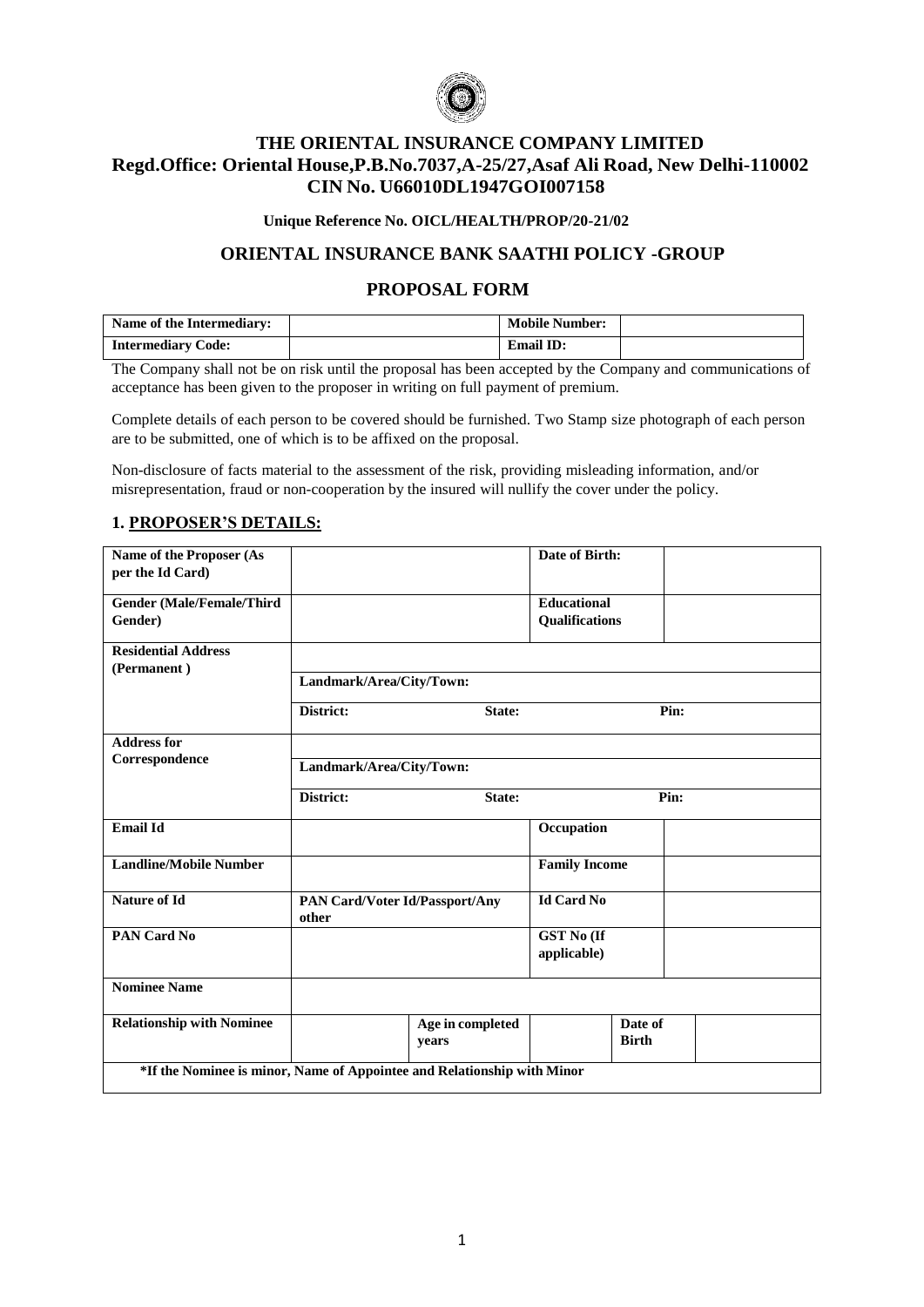

# **THE ORIENTAL INSURANCE COMPANY LIMITED Regd.Office: Oriental House,P.B.No.7037,A-25/27,Asaf Ali Road, New Delhi-110002 CIN No. U66010DL1947GOI007158**

#### **Unique Reference No. OICL/HEALTH/PROP/20-21/02**

### **ORIENTAL INSURANCE BANK SAATHI POLICY -GROUP**

## **PROPOSAL FORM**

| Name of the Intermediary: | <b>Mobile Number:</b> |  |
|---------------------------|-----------------------|--|
| <b>Intermediary Code:</b> | <b>Email ID:</b>      |  |

The Company shall not be on risk until the proposal has been accepted by the Company and communications of acceptance has been given to the proposer in writing on full payment of premium.

Complete details of each person to be covered should be furnished. Two Stamp size photograph of each person are to be submitted, one of which is to be affixed on the proposal.

Non-disclosure of facts material to the assessment of the risk, providing misleading information, and/or misrepresentation, fraud or non-cooperation by the insured will nullify the cover under the policy.

#### **1. PROPOSER'S DETAILS:**

| <b>Name of the Proposer (As</b><br>per the Id Card)                     |                          |                                       | Date of Birth:                       |      |
|-------------------------------------------------------------------------|--------------------------|---------------------------------------|--------------------------------------|------|
| <b>Gender (Male/Female/Third</b><br>Gender)                             |                          |                                       | <b>Educational</b><br>Qualifications |      |
| <b>Residential Address</b><br>(Permanent)                               |                          |                                       |                                      |      |
|                                                                         | Landmark/Area/City/Town: |                                       |                                      |      |
|                                                                         | District:                | State:                                |                                      | Pin: |
| <b>Address for</b>                                                      |                          |                                       |                                      |      |
| Correspondence                                                          | Landmark/Area/City/Town: |                                       |                                      |      |
|                                                                         | District:                | State:                                |                                      | Pin: |
| <b>Email Id</b>                                                         |                          |                                       | Occupation                           |      |
| <b>Landline/Mobile Number</b>                                           |                          |                                       | <b>Family Income</b>                 |      |
| <b>Nature of Id</b>                                                     | other                    | <b>PAN Card/Voter Id/Passport/Any</b> | <b>Id Card No</b>                    |      |
| <b>PAN Card No</b>                                                      |                          |                                       | <b>GST No (If</b><br>applicable)     |      |
| <b>Nominee Name</b>                                                     |                          |                                       |                                      |      |
| <b>Relationship with Nominee</b>                                        |                          | Age in completed<br>years             | Date of<br><b>Birth</b>              |      |
| *If the Nominee is minor, Name of Appointee and Relationship with Minor |                          |                                       |                                      |      |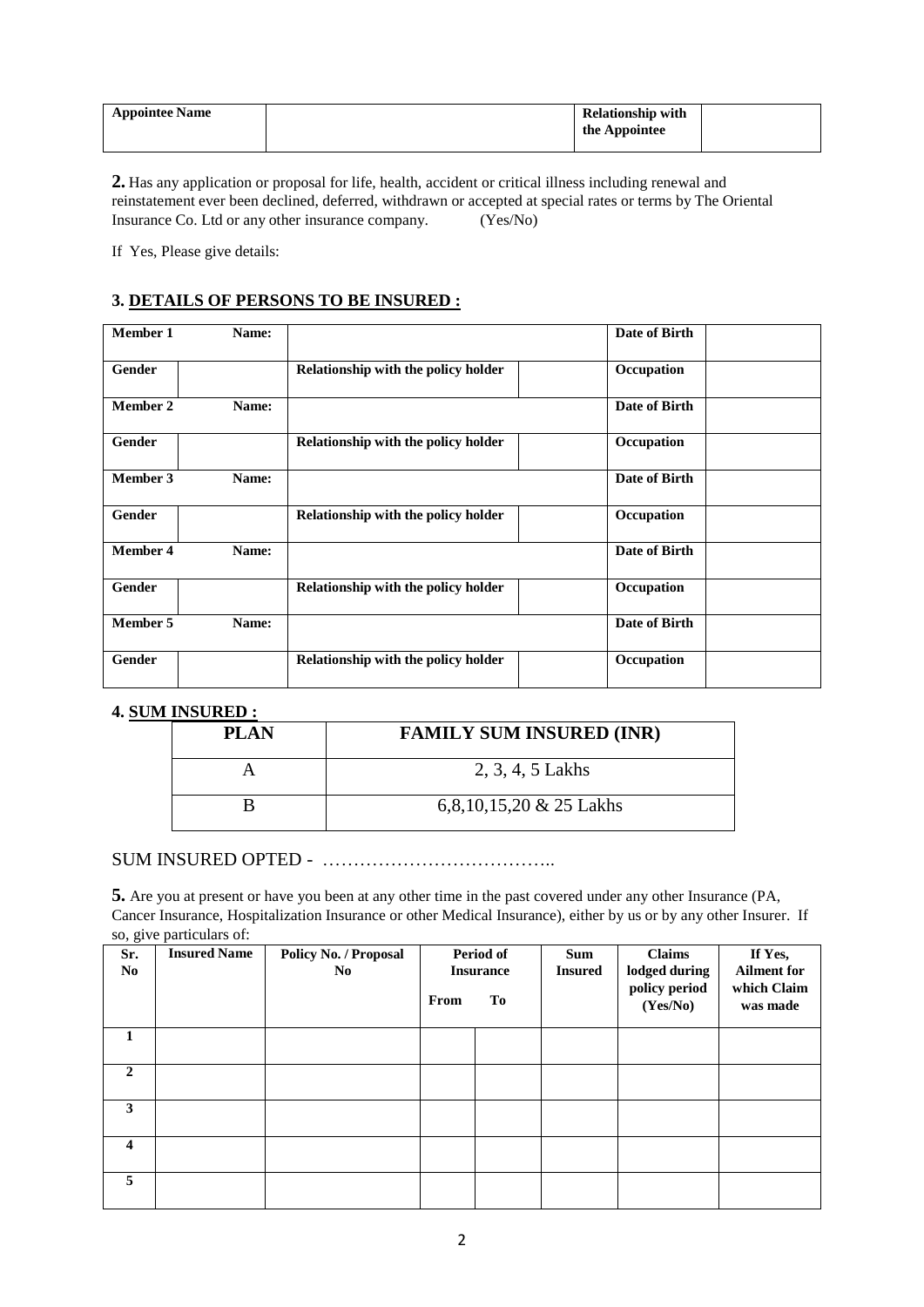| <b>Appointee Name</b> | <b>Relationship with</b> |  |
|-----------------------|--------------------------|--|
|                       | the Appointee            |  |
|                       |                          |  |

**2.** Has any application or proposal for life, health, accident or critical illness including renewal and reinstatement ever been declined, deferred, withdrawn or accepted at special rates or terms by The Oriental Insurance Co. Ltd or any other insurance company. (Yes/No) Insurance Co. Ltd or any other insurance company.

If Yes, Please give details:

## **3. DETAILS OF PERSONS TO BE INSURED :**

| <b>Member 1</b> | Name: |                                     | Date of Birth |
|-----------------|-------|-------------------------------------|---------------|
| Gender          |       | Relationship with the policy holder | Occupation    |
| <b>Member 2</b> | Name: |                                     | Date of Birth |
| Gender          |       | Relationship with the policy holder | Occupation    |
| Member 3        | Name: |                                     | Date of Birth |
| Gender          |       | Relationship with the policy holder | Occupation    |
| <b>Member 4</b> | Name: |                                     | Date of Birth |
| Gender          |       | Relationship with the policy holder | Occupation    |
| <b>Member 5</b> | Name: |                                     | Date of Birth |
| <b>Gender</b>   |       | Relationship with the policy holder | Occupation    |

## **4. SUM INSURED :**

| <b>PLAN</b> | <b>FAMILY SUM INSURED (INR)</b> |
|-------------|---------------------------------|
|             | 2, 3, 4, 5 Lakhs                |
|             | 6,8,10,15,20 $& 25$ Lakhs       |

# SUM INSURED OPTED - ………………………………..

**5.** Are you at present or have you been at any other time in the past covered under any other Insurance (PA, Cancer Insurance, Hospitalization Insurance or other Medical Insurance), either by us or by any other Insurer. If so, give particulars of:

| Sr.<br>N <sub>0</sub>   | <b>Insured Name</b> | Policy No. / Proposal<br>N <sub>0</sub> | From | Period of<br><b>Insurance</b><br>To | <b>Sum</b><br><b>Insured</b> | <b>Claims</b><br>lodged during<br>policy period<br>(Yes/No) | If Yes,<br><b>Ailment for</b><br>which Claim<br>was made |
|-------------------------|---------------------|-----------------------------------------|------|-------------------------------------|------------------------------|-------------------------------------------------------------|----------------------------------------------------------|
| 1                       |                     |                                         |      |                                     |                              |                                                             |                                                          |
| $\overline{2}$          |                     |                                         |      |                                     |                              |                                                             |                                                          |
| 3                       |                     |                                         |      |                                     |                              |                                                             |                                                          |
| $\overline{\mathbf{4}}$ |                     |                                         |      |                                     |                              |                                                             |                                                          |
| 5                       |                     |                                         |      |                                     |                              |                                                             |                                                          |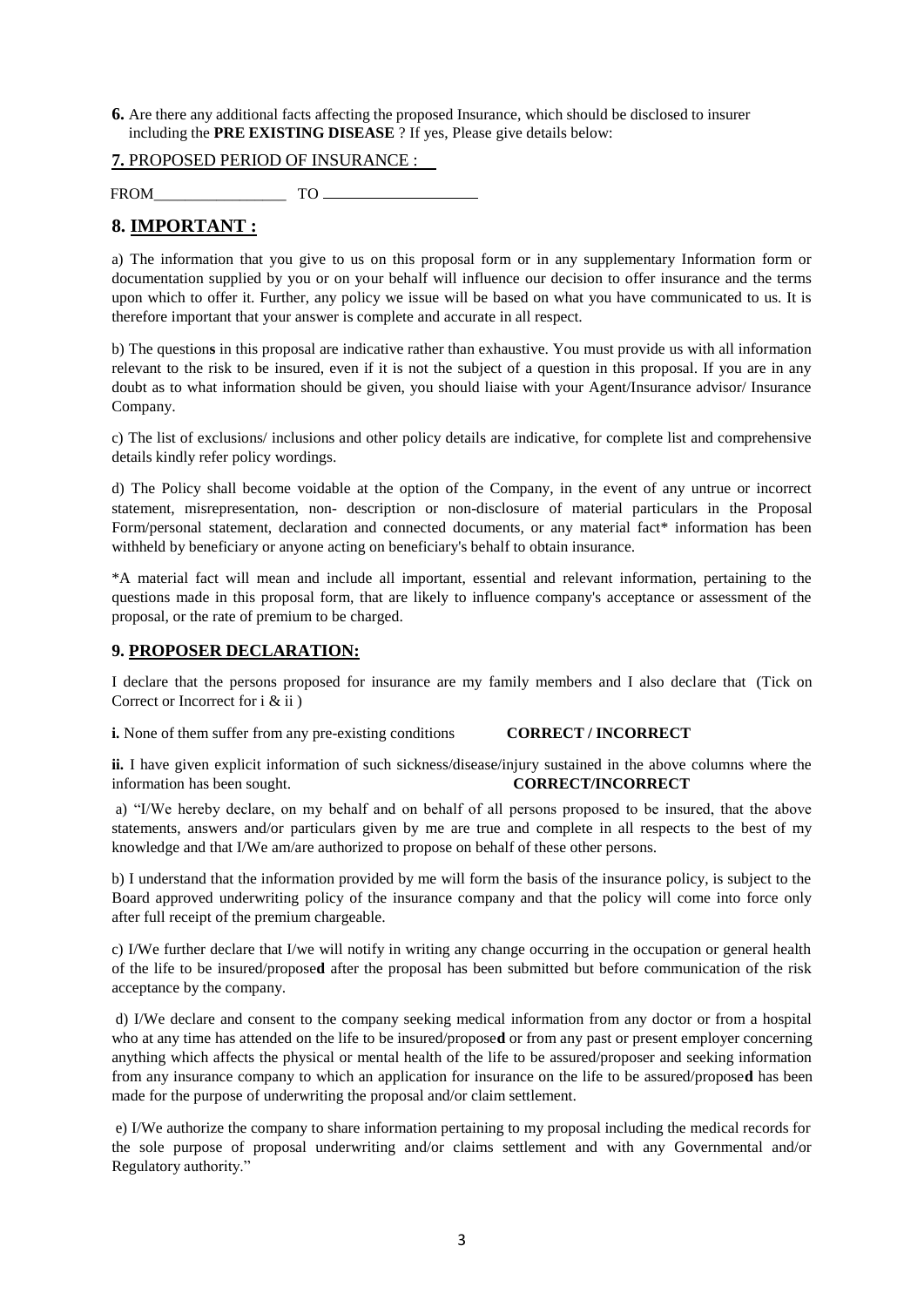**6.** Are there any additional facts affecting the proposed Insurance, which should be disclosed to insurer including the **PRE EXISTING DISEASE** ? If yes, Please give details below:

**7.** PROPOSED PERIOD OF INSURANCE :

FROM\_\_\_\_\_\_\_\_\_\_\_\_\_\_\_\_\_ TO

# **8. IMPORTANT :**

a) The information that you give to us on this proposal form or in any supplementary Information form or documentation supplied by you or on your behalf will influence our decision to offer insurance and the terms upon which to offer it. Further, any policy we issue will be based on what you have communicated to us. It is therefore important that your answer is complete and accurate in all respect.

b) The question**s** in this proposal are indicative rather than exhaustive. You must provide us with all information relevant to the risk to be insured, even if it is not the subject of a question in this proposal. If you are in any doubt as to what information should be given, you should liaise with your Agent/Insurance advisor/ Insurance Company.

c) The list of exclusions/ inclusions and other policy details are indicative, for complete list and comprehensive details kindly refer policy wordings.

d) The Policy shall become voidable at the option of the Company, in the event of any untrue or incorrect statement, misrepresentation, non- description or non-disclosure of material particulars in the Proposal Form/personal statement, declaration and connected documents, or any material fact\* information has been withheld by beneficiary or anyone acting on beneficiary's behalf to obtain insurance.

\*A material fact will mean and include all important, essential and relevant information, pertaining to the questions made in this proposal form, that are likely to influence company's acceptance or assessment of the proposal, or the rate of premium to be charged.

#### **9. PROPOSER DECLARATION:**

I declare that the persons proposed for insurance are my family members and I also declare that (Tick on Correct or Incorrect for i & ii )

**i.** None of them suffer from any pre-existing conditions **CORRECT / INCORRECT**

**ii.** I have given explicit information of such sickness/disease/injury sustained in the above columns where the information has been sought. **CORRECT/INCORRECT**

a) "I/We hereby declare, on my behalf and on behalf of all persons proposed to be insured, that the above statements, answers and/or particulars given by me are true and complete in all respects to the best of my knowledge and that I/We am/are authorized to propose on behalf of these other persons.

b) I understand that the information provided by me will form the basis of the insurance policy, is subject to the Board approved underwriting policy of the insurance company and that the policy will come into force only after full receipt of the premium chargeable.

c) I/We further declare that I/we will notify in writing any change occurring in the occupation or general health of the life to be insured/propose**d** after the proposal has been submitted but before communication of the risk acceptance by the company.

d) I/We declare and consent to the company seeking medical information from any doctor or from a hospital who at any time has attended on the life to be insured/propose**d** or from any past or present employer concerning anything which affects the physical or mental health of the life to be assured/proposer and seeking information from any insurance company to which an application for insurance on the life to be assured/propose**d** has been made for the purpose of underwriting the proposal and/or claim settlement.

e) I/We authorize the company to share information pertaining to my proposal including the medical records for the sole purpose of proposal underwriting and/or claims settlement and with any Governmental and/or Regulatory authority."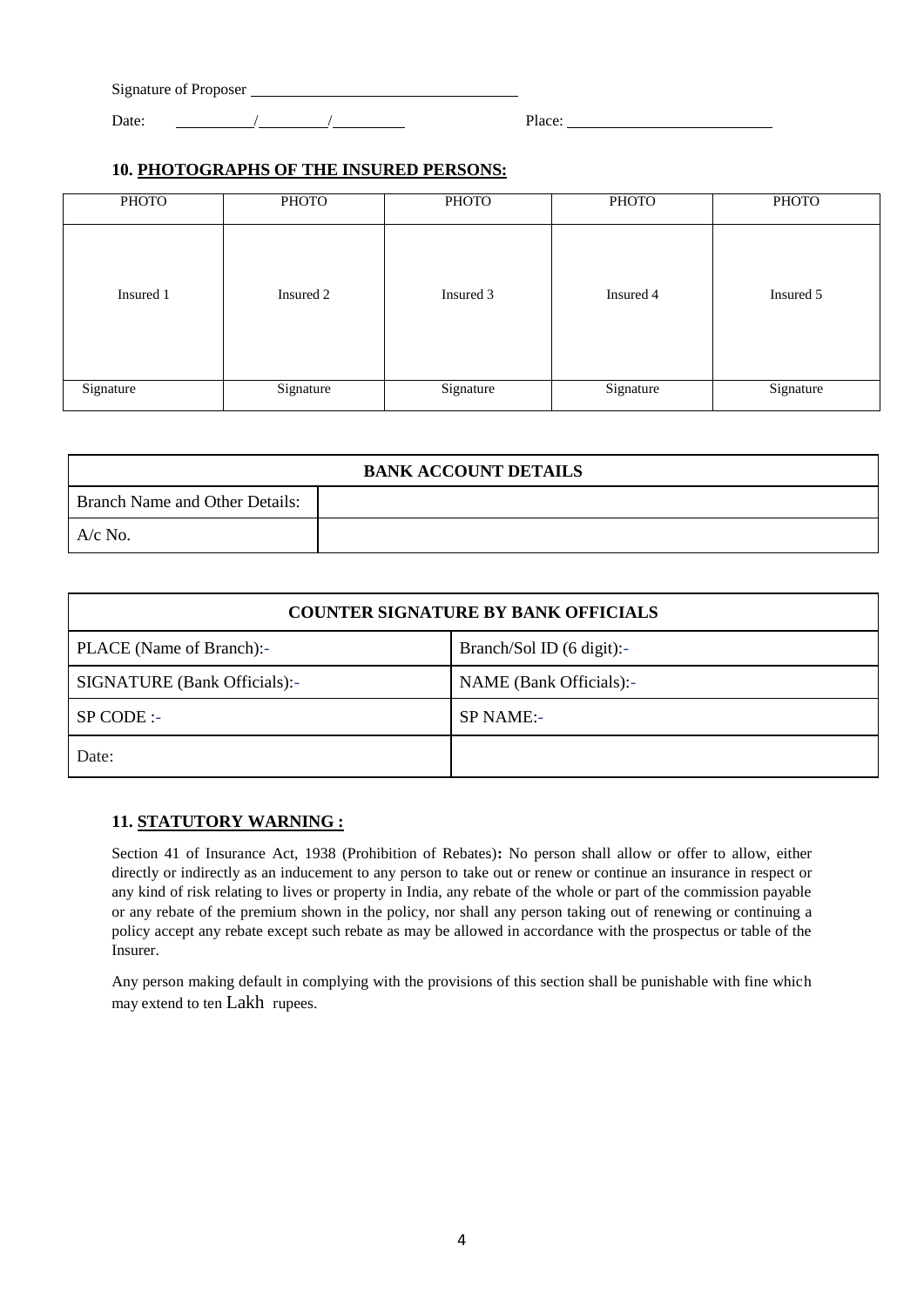| Signature of Proposer |  |        |
|-----------------------|--|--------|
| Date:                 |  | Place: |

### **10. PHOTOGRAPHS OF THE INSURED PERSONS:**

| <b>PHOTO</b> | PHOTO     | <b>PHOTO</b> | <b>PHOTO</b> | <b>PHOTO</b> |
|--------------|-----------|--------------|--------------|--------------|
|              |           |              |              |              |
| Insured 1    | Insured 2 | Insured 3    | Insured 4    | Insured 5    |
| Signature    | Signature | Signature    | Signature    | Signature    |

| <b>BANK ACCOUNT DETAILS</b>    |  |  |  |
|--------------------------------|--|--|--|
| Branch Name and Other Details: |  |  |  |
| $A/c$ No.                      |  |  |  |

| <b>COUNTER SIGNATURE BY BANK OFFICIALS</b> |                           |  |  |
|--------------------------------------------|---------------------------|--|--|
| PLACE (Name of Branch):-                   | Branch/Sol ID (6 digit):- |  |  |
| SIGNATURE (Bank Officials):-               | NAME (Bank Officials):-   |  |  |
| $SP \text{CODE}$ :                         | SP NAME:-                 |  |  |
| Date:                                      |                           |  |  |

### **11. STATUTORY WARNING :**

Section 41 of Insurance Act, 1938 (Prohibition of Rebates)**:** No person shall allow or offer to allow, either directly or indirectly as an inducement to any person to take out or renew or continue an insurance in respect or any kind of risk relating to lives or property in India, any rebate of the whole or part of the commission payable or any rebate of the premium shown in the policy, nor shall any person taking out of renewing or continuing a policy accept any rebate except such rebate as may be allowed in accordance with the prospectus or table of the Insurer.

Any person making default in complying with the provisions of this section shall be punishable with fine which may extend to ten Lakh rupees.